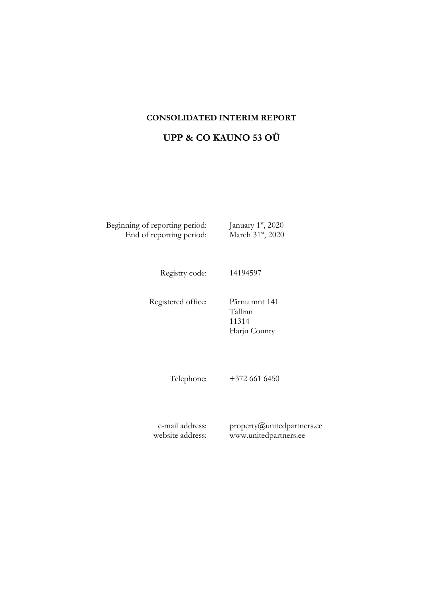#### **CONSOLIDATED INTERIM REPORT**

# **UPP & CO KAUNO 53 OÜ**

Beginning of reporting period: End of reporting period: March 31<sup>st</sup>, 2020

Registry code: 14194597

Registered office: Pärnu mnt 141 Tallinn 11314 Harju County

st , 2020

Telephone: +372 661 6450

e-mail address: website address: property@unitedpartners.ee www.unitedpartners.ee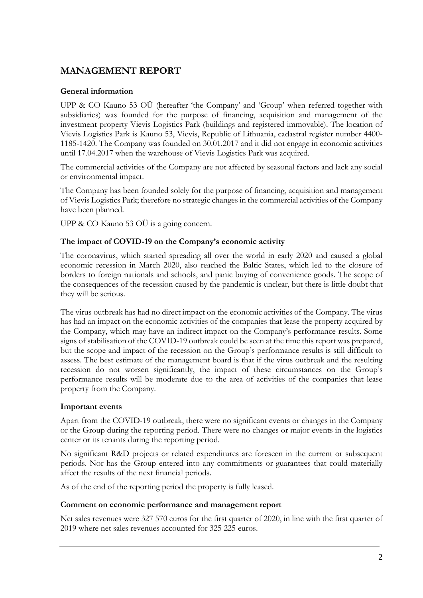## **MANAGEMENT REPORT**

## **General information**

UPP & CO Kauno 53 OÜ (hereafter 'the Company' and 'Group' when referred together with subsidiaries) was founded for the purpose of financing, acquisition and management of the investment property Vievis Logistics Park (buildings and registered immovable). The location of Vievis Logistics Park is Kauno 53, Vievis, Republic of Lithuania, cadastral register number 4400- 1185-1420. The Company was founded on 30.01.2017 and it did not engage in economic activities until 17.04.2017 when the warehouse of Vievis Logistics Park was acquired.

The commercial activities of the Company are not affected by seasonal factors and lack any social or environmental impact.

The Company has been founded solely for the purpose of financing, acquisition and management of Vievis Logistics Park; therefore no strategic changes in the commercial activities of the Company have been planned.

UPP & CO Kauno 53 OÜ is a going concern.

### **The impact of COVID-19 on the Company's economic activity**

The coronavirus, which started spreading all over the world in early 2020 and caused a global economic recession in March 2020, also reached the Baltic States, which led to the closure of borders to foreign nationals and schools, and panic buying of convenience goods. The scope of the consequences of the recession caused by the pandemic is unclear, but there is little doubt that they will be serious.

The virus outbreak has had no direct impact on the economic activities of the Company. The virus has had an impact on the economic activities of the companies that lease the property acquired by the Company, which may have an indirect impact on the Company's performance results. Some signs of stabilisation of the COVID-19 outbreak could be seen at the time this report was prepared, but the scope and impact of the recession on the Group's performance results is still difficult to assess. The best estimate of the management board is that if the virus outbreak and the resulting recession do not worsen significantly, the impact of these circumstances on the Group's performance results will be moderate due to the area of activities of the companies that lease property from the Company.

#### **Important events**

Apart from the COVID-19 outbreak, there were no significant events or changes in the Company or the Group during the reporting period. There were no changes or major events in the logistics center or its tenants during the reporting period.

No significant R&D projects or related expenditures are foreseen in the current or subsequent periods. Nor has the Group entered into any commitments or guarantees that could materially affect the results of the next financial periods.

As of the end of the reporting period the property is fully leased.

#### **Comment on economic performance and management report**

Net sales revenues were 327 570 euros for the first quarter of 2020, in line with the first quarter of 2019 where net sales revenues accounted for 325 225 euros.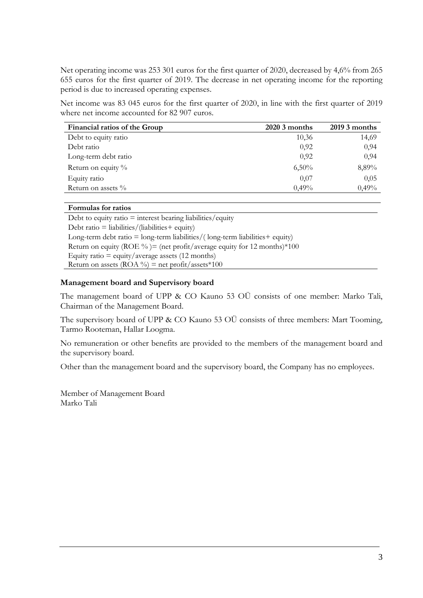Net operating income was 253 301 euros for the first quarter of 2020, decreased by 4,6% from 265 655 euros for the first quarter of 2019. The decrease in net operating income for the reporting period is due to increased operating expenses.

Net income was 83 045 euros for the first quarter of 2020, in line with the first quarter of 2019 where net income accounted for 82 907 euros.

| Financial ratios of the Group | $2020$ 3 months | $2019.3$ months |
|-------------------------------|-----------------|-----------------|
| Debt to equity ratio          | 10,36           | 14,69           |
| Debt ratio                    | 0,92            | 0,94            |
| Long-term debt ratio          | 0,92            | 0,94            |
| Return on equity $\%$         | 6,50%           | 8,89%           |
| Equity ratio                  | 0,07            | 0,05            |
| Return on assets $\%$         | 0,49%           | 0,49%           |

**Formulas for ratios**

Debt to equity ratio  $=$  interest bearing liabilities/equity Debt ratio = liabilities/(liabilities+ equity) Long-term debt ratio  $=$  long-term liabilities/(long-term liabilities  $+$  equity) Return on equity (ROE %) = (net profit/average equity for 12 months)  $*100$ Equity ratio  $=$  equity/average assets (12 months) Return on assets  $(ROA \%)$  = net profit/assets\*100

#### **Management board and Supervisory board**

The management board of UPP & CO Kauno 53 OÜ consists of one member: Marko Tali, Chairman of the Management Board.

The supervisory board of UPP & CO Kauno 53 OÜ consists of three members: Mart Tooming, Tarmo Rooteman, Hallar Loogma.

No remuneration or other benefits are provided to the members of the management board and the supervisory board.

Other than the management board and the supervisory board, the Company has no employees.

Member of Management Board Marko Tali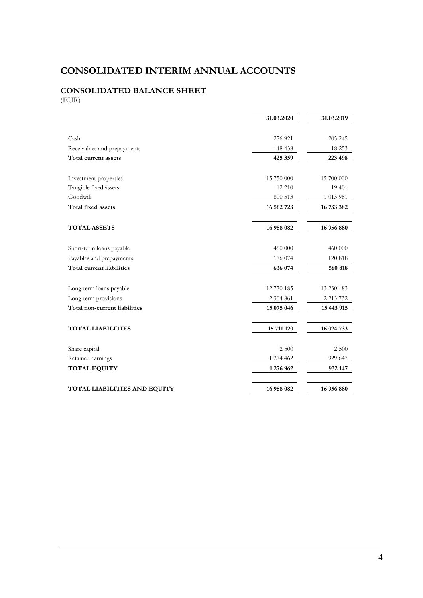# **CONSOLIDATED INTERIM ANNUAL ACCOUNTS**

## **CONSOLIDATED BALANCE SHEET** (EUR)

|                                  | 31.03.2020 | 31.03.2019    |
|----------------------------------|------------|---------------|
|                                  |            |               |
| Cash                             | 276 921    | 205 245       |
| Receivables and prepayments      | 148 438    | 18 25 3       |
| Total current assets             | 425 359    | 223 498       |
|                                  |            |               |
| Investment properties            | 15 750 000 | 15 700 000    |
| Tangible fixed assets            | 12 210     | 19 401        |
| Goodwill                         | 800 513    | 1 013 981     |
| <b>Total fixed assets</b>        | 16 562 723 | 16 733 382    |
|                                  |            |               |
| <b>TOTAL ASSETS</b>              | 16 988 082 | 16 956 880    |
|                                  |            |               |
| Short-term loans payable         | 460 000    | 460 000       |
| Payables and prepayments         | 176 074    | $120\;818$    |
| <b>Total current liabilities</b> | 636 074    | 580 818       |
|                                  |            |               |
| Long-term loans payable          | 12 770 185 | 13 230 183    |
| Long-term provisions             | 2 304 861  | 2 2 1 3 7 3 2 |
| Total non-current liabilities    | 15 075 046 | 15 443 915    |
|                                  |            |               |
| <b>TOTAL LIABILITIES</b>         | 15 711 120 | 16 024 733    |
|                                  |            |               |
| Share capital                    | 2 500      | 2 5 0 0       |
| Retained earnings                | 1 274 462  | 929 647       |
| <b>TOTAL EQUITY</b>              | 1 276 962  | 932 147       |
|                                  |            |               |
| TOTAL LIABILITIES AND EQUITY     | 16 988 082 | 16 956 880    |
|                                  |            |               |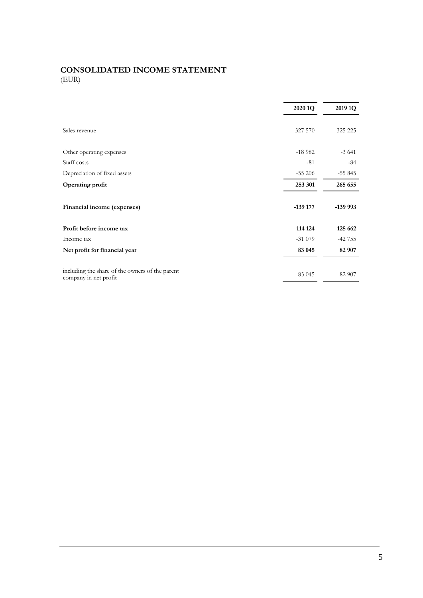## **CONSOLIDATED INCOME STATEMENT** (EUR)

|                                                                          | 2020 1Q  | 2019 1Q    |  |
|--------------------------------------------------------------------------|----------|------------|--|
| Sales revenue                                                            | 327 570  | 325 225    |  |
| Other operating expenses                                                 | $-18982$ | $-3641$    |  |
| Staff costs                                                              | $-81$    | $-84$      |  |
| Depreciation of fixed assets                                             | $-55206$ | $-55845$   |  |
| Operating profit                                                         | 253 301  | 265 655    |  |
| Financial income (expenses)                                              | -139 177 | $-139993$  |  |
| Profit before income tax                                                 | 114 124  | 125 662    |  |
| Income tax                                                               | $-31079$ | $-42\,755$ |  |
| Net profit for financial year                                            | 83 045   | 82 907     |  |
| including the share of the owners of the parent<br>company in net profit | 83 045   | 82 907     |  |